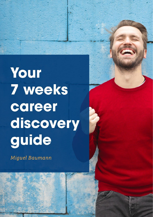Your **7 weeks** career discovery guide

Miguel Baumann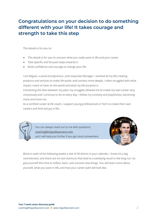# **Congratulations on your decision to do something different with your life! It takes courage and strength to take this step**

This ebook is for you to:

- This ebook is for you to uncover what you really want in life and your career
- Take specific and focused steps towards it
- Build confidence and courage to change your life

I am Miguel, a serial entrepreneur, and corporate Manager. I worked all my life creating products and services to make life easier and connect more deeply. I often struggled with what impact I want to have on the world and what my life purpose is.

Connecting the dots between my past, my struggles allowed me to create my own career very consciously and I continue to do so every day. I follow my curiosity and playfulness, becoming more and more me.

As a certified career & life coach, I support young professionals in Tech to create their own careers and find real joy in life.



You can always reach out to me with questions: coaching@miguelbaumann.com and I will help you further if you get stuck somewhere.



Block in each of the following weeks a slot of 30-60min in your calendar. I know it's a big commitment, and there are no real shortcuts that lead to a satisfying result in the long run. So give yourself this time to reflect, learn, and uncover new things. You will learn more about yourself, what you want in life, and how your career path will look like.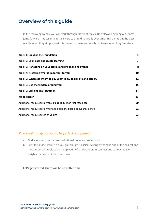# **Overview of this guide**

In the following weeks, you will work through different topics. Don't leave anything out, don't jump forward. It takes time for answers to unfold naturally over time - my clients get the best results when they simply trust this proven process and reach out to me when they feel stuck.

| <b>Week 1: Building the Foundation</b>                             | 4              |
|--------------------------------------------------------------------|----------------|
| Week 2: Look back and create learning                              | $\overline{7}$ |
| Week 3: Reflecting on your stories and life-changing events        | 8              |
| Week 4: Assessing what is important to you                         | 10             |
| Week 5: Where do I want to go? What is my goal in life and career? | 12             |
| Week 6: Use the wisdom around you                                  | 15             |
| Week 7: Bringing it all together                                   | 17             |
| What's next?                                                       | 19             |
| Additional resource: How this guide is built on Neuroscience       | 20             |
| Additional resource: How to take decisions based on Neuroscience   | 21             |
| Additional resource: List of values                                | 23             |

### *Two small things for you to be perfectly prepared:*

- a) Find a journal to write down additional notes and reflections
- b) Print this guide, it will help you go through it easier. Writing by hand is one of the easiest and most important tools to pump up your left and right brain connections to get creative insights that were hidden until now.

#### **Let's get started, there will be no better time!**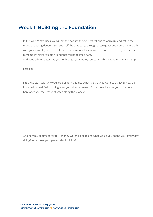## <span id="page-3-0"></span>**Week 1: Building the Foundation**

In this week's exercises, we will set the basis with some reflections to warm up and get in the mood of digging deeper. Give yourself the time to go through these questions, contemplate, talk with your parents, partner, or friend to add more ideas, keywords, and depth. They can help you remember things you didn't and that might be important.

And keep adding details as you go through your week, sometimes things take time to come up.

Let's go!

First, let's start with why you are doing this guide? What is it that you want to achieve? How do imagine it would feel knowing what your dream career is? Use these insights you write down here once you feel less motivated along the 7 weeks.

And now my all-time favorite: If money weren't a problem, what would you spend your every day doing? What does your perfect day look like?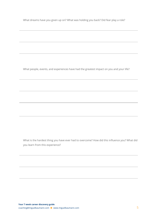What dreams have you given up on? What was holding you back? Did fear play a role?

What people, events, and experiences have had the greatest impact on you and your life?

What is the hardest thing you have ever had to overcome? How did this influence you? What did you learn from this experience?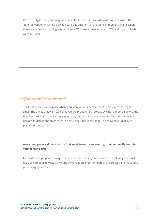What activity(ies) are you doing when it feels like time flies by? When are you in 'Flow' or the 'Zone' at work or anywhere else at life? If this question is hard, think of moments in life, when things were perfect, nothing was in the way. What were those moments? What did you do? Who were you with?

### *Confidence box (Bonus exercise):*

The Confidence Box is a place where you store all your achievements and successes, big or small. The things that went well, that you are proud of. Start today by writing them all down. And then keep adding more over time when they happen or when you remember them, write them down with details and store them in a safe place. Use loose paper, a dedicated journal, nice post-its, or postcards.

### **Awesome, you are done with the first week towards uncovering what you really want in your career & life!**

For next week: prepare 1h of quiet time and some paper you can write on a lot, maybe a small diary or notebook to write in. Writing by hand is an important part of the process and make sure you are equipped for it.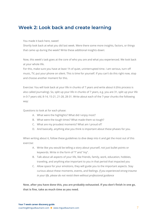## <span id="page-6-0"></span>**Week 2: Look back and create learning**

#### You made it back here, sweet!

Shortly look back at what you did last week. Were there some more insights, factors, or things that came up during the week? Write these additional insights down:

Now, this week's task goes at the core of who you are and what you experienced. We look back at your whole life.

For this, make sure you have at least 1h of quiet, uninterrupted time. I am serious, turn off music, TV, put your phone on silent. This is time for yourself. If you can't do this right now, stop and choose another moment for this.

Exercise: You will look back at your life in chunks of 7 years and write about it (this process is also called journaling). So, split up your life in chunks of 7 years, e.g. you are 31, split up your life in 0-7 years old, 8-14, 15-21, 21-28, 28-31. Write about each of the 7-year chunks the following way:

Questions to look at for each phase:

- A. What were the highlights? What did I enjoy most?
- B. What were the tough times? What made them so tough?
- C. What are my proudest moments? What am I proud of?
- D. And basically, anything else you think is important about these phases for you.

When writing about it, follow these guidelines to dive deep into it and get the most out of this exercise:

- A. Write like you would be telling a story about yourself, not just bullet points or keywords. Write in the form of "I" and "my".
- B. Talk about all aspects of your life, like friends, family, work, education, hobbies, traveling, and anything else important to you in that period that impacted you
- C. Allow space for your emotions, they will guide you to the important aspects. Stay curious about these moments, events, and feelings. *If you experienced strong trauma in your life, please do not revisit them without professional guidance*

**Now, after you have done this, you are probably exhausted. If you don't finish in one go, that is fine, take as much time as you need.**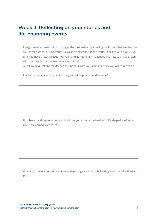# <span id="page-7-0"></span>**Week 3: Reflecting on your stories and life-changing events**

It might seem an awful lot of looking at the past instead of creating the future. I believe that the source for authentic living, your true calling, and impact in the world - it all lies within you. Over time you have shown already how you handled your life's challenges and how you have grown with them - let's use that to create your future!

All following questions will deepen the insights from your personal story you wrote in week 2:

In which experiences did you find the greatest inspiration and passion?

How have the disappointments and failures you experienced earlier in life shaped you? What have you learned from them?

What adjustments do you need to take regarding career and life looking at all the reflections so far?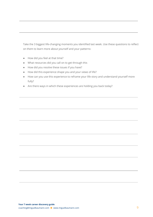Take the 3 biggest life-changing moments you identified last week. Use these questions to reflect on them to learn more about yourself and your patterns:

- How did you feel at that time?
- What resources did you call on to get through this
- How did you resolve these issues if you have?
- How did this experience shape you and your views of life?
- How can you use this experience to reframe your life story and understand yourself more fully?
- Are there ways in which these experiences are holding you back today?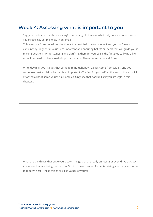## <span id="page-9-0"></span>**Week 4: Assessing what is important to you**

Yay, you made it so far - how exciting! How did it go last week? What did you learn, where were you struggling? Let me know in an email!

This week we focus on values, the things that just feel true for yourself and you can't even explain why. In general, values are important and enduring beliefs or ideals that will guide you in making decisions. Understanding and clarifying them for yourself is the first step to living a life more in tune with what is really important to you. They create clarity and focus.

Write down all your values that come to mind right now. Values come from within, and you somehow can't explain why that is so important. (Try first for yourself, at the end of this ebook I attached a list of some values as examples. Only use that backup list if you struggle in this chapter).

What are the things that drive you crazy? Things that are really annoying or even drive us crazy are values that are being stepped on. So, find the opposite of what is driving you crazy and write that down here - these things are also values of yours: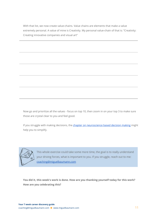With that list, we now create value-chains. Value chains are elements that make a value extremely personal. A value of mine is Creativity. My personal value-chain of that is: "Creativity: Creating innovative companies and visual art"

Now go and prioritize all the values - focus on top 10, then zoom in on your top 3 to make sure those are crystal clear to you and feel good.

If you struggle with making decisions, the chapter on [neuroscience](#page-20-0) based decision making might help you to simplify.



This whole exercise could take some more time, the goal is to really understand your driving forces, what is important to you. If you struggle, reach out to me: coaching@miguelbaumann.com

**You did it, this week's work is done. How are you thanking yourself today for this work? How are you celebrating this?**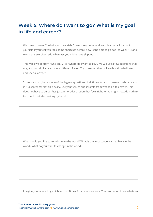# <span id="page-11-0"></span>**Week 5: Where do I want to go? What is my goal in life and career?**

Welcome to week 5! What a journey, right? I am sure you have already learned a lot about yourself. If you feel you took some shortcuts before, now is the time to go back to week 1-4 and revisit the exercises, add whatever you might have skipped.

This week we go from "Who am I?" to "Where do I want to go?". We will use a few questions that might sound similar, yet have a different flavor. Try to answer them all, each with a dedicated and special answer.

So, to warm up, here is one of the biggest questions of all times for you to answer: Who are you in 1-3 sentences? If this is scary, use your values and insights from weeks 1-4 to answer. This does not have to be perfect, just a short description that feels right for you right now, don't think too much, just start writing by hand.

What would you like to contribute to the world? What is the impact you want to have in the world? What do you want to change in the world?

Imagine you have a huge billboard on Times Square in New York. You can put up there whatever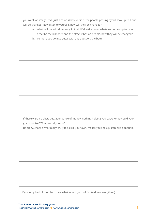you want, an image, text, just a color. Whatever it is, the people passing by will look up to it and will be changed. Now listen to yourself, how will they be changed?

- a. What will they do differently in their life? Write down whatever comes up for you, describe the billboard and the effect it has on people, how they will be changed?
- b. To more you go into detail with this question, the better

If there were no obstacles, abundance of money, nothing holding you back: What would your goal look like? What would you do? Be crazy, choose what really, truly feels like your own, makes you smile just thinking about it.

If you only had 12 months to live, what would you do? (write down everything)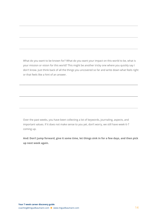What do you want to be known for? What do you want your impact on this world to be, what is your mission or vision for this world? This might be another tricky one where you quickly say I don't know. Just think back of all the things you uncovered so far and write down what feels right or that feels like a hint of an answer.

Over the past weeks, you have been collecting a lot of keywords, journaling, aspects, and important values. If it does not make sense to you yet, don't worry, we still have week 6-7 coming up.

And: Don't jump forward, give it some time, let things sink in for a few days, and then pick **up next week again.**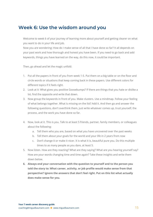## <span id="page-14-0"></span>**Week 6: Use the wisdom around you**

Welcome to week 6 of your journey of learning more about yourself and getting clearer on what you want to do in your life and job.

Now you are wondering: How do I make sense of all that I have done so far? It all depends on your past work and how thorough and honest you have been. If you need to go back and add keywords, things you have learned on the way, do this now, it could be important.

Then, go ahead and let the magic unfold:

- 1. Put all the papers in front of you from week 1-5. Put them on a big table or on the floor and circle words or situations that keep coming back in these papers. Use different colors for different topics if it feels right.
- 2. Look at it: What gives you positive Goosebumps? If there are things that you hate or dislike a lot, find the opposite and write that down.
- 3. Now group the keywords in front of you. Make clusters. Use a mindmap. Follow your feeling of what belongs together. What is missing on the list? Add it. And then go and answer the following questions, don't overthink them, just write whatever comes up, trust yourself, the process, and the work you have done so far.
- 4. Now, look at it. This is you. Talk to at least 5 friends, partner, family members, or colleagues about the following:
	- a. Tell them who you are, based on what you have uncovered over the past weeks
	- b. Tell them about your goals for the world and your life in 2 years from now
	- c. Don't change it or make it nicer. It is what it is, beautiful pure you. Do this multiple times to as many people as you dare, at least 5.
- 5. Now listen. How are they reacting? What are they saying? What are you hearing yourself say? How are your words changing time and time again? Take these insights and write them down below.
- **6. Always end your conversation with the question to yourself and to the person you told the story to: What career, activity, or job profile would make sense from that perspective? Ignore the answers that don't feel right. Put on this list what actually does make sense for you.**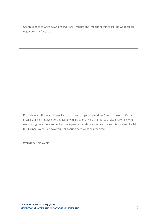Use this space to write down observations, insights and important things around what career might be right for you.

Don't cheat on this one, I know it's where most people stop and don't move forward. It's the crucial step that shows how dedicated you are to making a change, you have everything you need, just go out there and talk to a few people! Let this sink in over the next few weeks. Revisit this list next week. See how you feel about it now, what has changed.

**Well done this week!**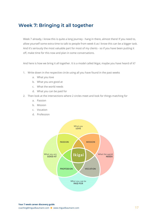# <span id="page-16-0"></span>**Week 7: Bringing it all together**

Week 7 already, I know this is quite a long journey - hang in there, almost there! If you need to, allow yourself some extra time to talk to people from week 6 as I know this can be a bigger task. And it's seriously the most valuable part for most of my clients - so if you have been putting it off, make time for this now and plan in some conversations.

And here is how we bring it all together. It is a model called Ikigai, maybe you have heard of it?

- 1. Write down in the respective circle using all you have found in the past weeks
	- a. What you love
	- b. What you are good at
	- c. What the world needs
	- d. What you can be paid for
- 2. Then look at the intersections where 2 circles meet and look for things matching for
	- a. Passion
	- b. Mission
	- c. Vocation
	- d. Profession

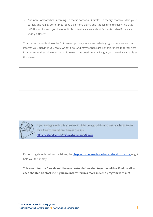3. And now, look at what is coming up that is part of all 4 circles. In theory, that would be your career, and reality sometimes looks a bit more blurry and it takes time to really find that IKIGAI spot. It's ok if you have multiple potential careers identified so far, also if they are widely different.

To summarize, write down the 3-5 career options you are considering right now, careers that interest you, activities you really want to do. And maybe there are just faint ideas that feel right for you. Write them down, using as little words as possible. Any insight you gained is valuable at this stage.



If you struggle with this exercise it might be a good time to just reach out to me for a free consultation - here is the link: https://calendly.com/miquel-baumann/60min

If you struggle with making decisions, the chapter on [neuroscience](#page-20-0) based decision making might help you to simplify.

**This was it for the free ebook! I have an extended version together with a 30mins call with each chapter. Contact me if you are interested in a more indepth program with me!**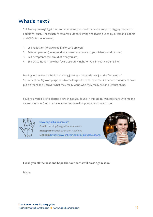## <span id="page-18-0"></span>**What's next?**

Still feeling uneasy? I get that, sometimes we just need that extra support, digging deeper, or additional push. The structure towards authentic living and leading used by successful leaders and CEOs is the following:

- 1. Self-reflection (what we do know, who are you)
- 2. Self-compassion (be as good to yourself as you are to your friends and partner)
- 3. Self-acceptance (be proud of who you are)
- 4. Self-actualization (do what feels absolutely right for you, in your career & life)

Moving into self-actualization is a long journey - this guide was just the first step of Self-reflection. My own purpose is to challenge others to leave the life behind that others have put on them and uncover what they really want, who they really are and let that shine.

So, if you would like to discuss a few things you found in this guide, want to share with me the career you have found or have any other question, please reach out to me:



www.miguelbaumann.com Email coaching@miguelbaumann.com Instagram miguel\_baumann\_coaching Linkedin https://www.linkedin.com/in/miguelbaumann/



#### **I wish you all the best and hope that our paths will cross again soon!**

Miguel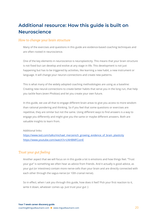# <span id="page-19-0"></span>**Additional resource: How this guide is built on Neuroscience**

#### *How to change your brain structure*

Many of the exercises and questions in this guide are evidence-based coaching techniques and are often rooted in neuroscience.

One of the key elements in neuroscience is neuroplasticity. This means that your brain structure is not fixed but can develop and evolve at any stage in life. This development is not just happening but has to be triggered by activities, like learning a new habit, a new instrument or language. It will change your neuron-connections and create new patterns.

This is what many of the widely adopted coaching methodologies are using as a baseline: Creating new neural-connections to create better habits that serve you in the long run, that help you tackle fears (even Phobias) and let you create your own future.

In this guide, we use all that to engage different brain areas to give you access to more wisdom than rational pondering and thinking. So if you feel that some questions or exercises are repetitive, they are similar but not the same. Using different ways to find answers is a way to engage you differently and might give you the same or maybe different answers. Both are valuable insights to learn from.

#### Additional links:

[https://www.ted.com/talks/michael\\_merzenich\\_growing\\_evidence\\_of\\_brain\\_plasticity](https://www.ted.com/talks/michael_merzenich_growing_evidence_of_brain_plasticity) <https://www.youtube.com/watch?v=LNHBMFCzznE>

### *Trust your gut feeling*

Another aspect that we will focus on in this guide a lot is emotions and how things feel. "Trust your gut" is something we often hear as advice from friends. And it actually is good advice, as your gut (or intestines) contain more nerve-cells than your brain and are directly connected with each other through the vagus-nerve (or 10th cranial nerve).

So in effect, when I ask you through this guide, how does it feel? Pick your first reaction to it, write it down, whatever comes up. Just trust your gut :)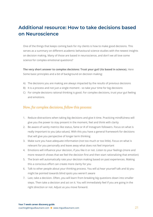# <span id="page-20-0"></span>**Additional resource: How to take decisions based on Neuroscience**

One of the things that keeps coming back for my clients is how to make good decisions. This serves as a summary on different academic behavioural science studies with the newest insights on decision making. Many of those are based in neuroscience, and don't we all love some science for complex emotional questions?

**The very short answer to complex decisions: Trust your gut! (its based in science).** Here Some basic principles and a bit of background on decision making:

- A) The decisions you are making are always impacted by the results of previous decisions
- B) It is a process and not just a single moment so take your time for big decisions
- C) For simple decisions rational thinking is good. For complex decisions, trust your gut feeling and emotions.

#### *Now, for complex decisions, follow this process:*

- 1. Reduce distractions when taking big decisions and give it time. Practicing mindfulness will give you the power to stay present in the moment, feel and think with clarity
- 2. Be aware of vanity metrics like status, fame or # of Instagram followers. Focus on what is really important to you (aka values). With this you have a general framework for decisions that will give you perspective of longer term thinking
- 3. Make sure you have adequate information (not too much or too little). Focus on what is relevant for you personally and leave away what does not feel important
- 4. Emotions will influence your decision, if you like it or not. Listen to your feelings (more and more research shows that we feel the decision first and then start rationalizing that emotion)
- 5. The brain will automatically rate your decision making based on past experiences. Making this a conscious effort can create more clarity for you
- 6. Talk to other people about your thinking process. You will a) hear yourself talk and b) you might be pointed towards blind spots you weren't aware
- 7. Last, take a decision. Often, you will learn from breaking big questions down into smaller steps. Then take a decision and act on it. You will immediately feel if you are going in the right direction or not. Adjust as you move forward.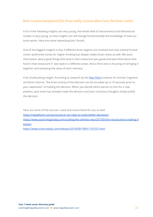### *Here is some background for those really curious about how the brain works:*

A lot of the following insights are very young, the whole field of neuroscience and behavioural studies is very young, so new insights can still change fundamentally the knowledge of how our brain works. Here are some interesting bits I found:

One of the biggest insights is that 3 different brain regions are involved (not only orbitral frontal cortex /prefrontal cortex for higher thinking but deeper (older) brain areas as well. We store information about good things (the food in that restaurant was good) and bad information (the food in that restaurant b´was bad) in 2 different areas. And a third area is focusing on bringing it together and assessing the value of each memory.

A bit of disturbing insight: According to research by the Max [Planx](https://www.mpib-berlin.mpg.de/en/news/current-research-results/cognitive-costs-of-decision-making-strategies-a-resource-demand-decomposition-with-a-cognitive) Institute for Human Cognitive and Brain Science, "the brain activity of the decision can be encoded up to 10 seconds prior to your awareness" of making the decision. When you decide which person to hire for a new position, your brain has already made the decision and your conscious thoughts simply justify the decision.

Here are some of the sources I used and recommend for you as well: <https://raywilliams.ca/neuroscience-can-help-us-make-better-decisions/> [https://www.psychologytoday.com/us/blog/the-athletes-way/201505/the-neuroscience-making-d](https://www.psychologytoday.com/us/blog/the-athletes-way/201505/the-neuroscience-making-decision) [ecision](https://www.psychologytoday.com/us/blog/the-athletes-way/201505/the-neuroscience-making-decision) [https://www.sciencedaily.com/releases/2019/09/190911101537.html](https://www.sciencedaily.com/releases/2019/09/190911101537.htm)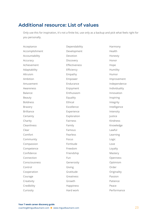## <span id="page-22-0"></span>**Additional resource: List of values**

Only use this for inspiration, it's not a finite list, use only as a backup and pick what feels right for you personally.

| Acceptance        | Dependability | Harmony       |
|-------------------|---------------|---------------|
| Accomplishment    | Development   | Health        |
| Accountability    | Devotion      | Honesty       |
| Accuracy          | Discovery     | Honor         |
| Achievement       | Effectiveness | Hope          |
| Adaptability      | Efficiency    | Humility      |
| Altruism          | Empathy       | Humor         |
| Ambition          | Empower       | Improvement   |
| Amusement         | Endurance     | Independence  |
| Awareness         | Enjoyment     | Individuality |
| <b>Balance</b>    | Enthusiasm    | Innovation    |
| Beauty            | Equality      | Inspiring     |
| <b>Boldness</b>   | Ethical       | Integrity     |
| <b>Bravery</b>    | Excellence    | Intelligence  |
| <b>Brilliance</b> | Experience    | Intensity     |
| Certainty         | Exploration   | Justice       |
| Charity           | Fairness      | Kindness      |
| Cleanliness       | Family        | Knowledge     |
| Clear             | Famous        | Lawful        |
| Comfort           | Fearless      | Learning      |
| Community         | Focus         | Logic         |
| Compassion        | Fortitude     | Love          |
| Competence        | Freedom       | Loyalty       |
| Confidence        | Friendship    | Mastery       |
| Connection        | Fun           | Openness      |
| Consciousness     | Generosity    | Optimism      |
| Control           | Giving        | Order         |
| Cooperation       | Gratitude     | Originality   |
| Courage           | Greatness     | Passion       |
| Creativity        | Growth        | Patience      |
| Credibility       | Happiness     | Peace         |
| Curiosity         | Hard work     | Performance   |